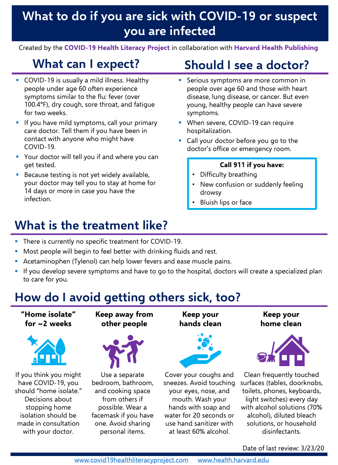## **What to do if you are sick with COVID-19 or suspect you are infected**

Created by the **COVID-19 Health Literacy Project** in collaboration with **Harvard Health Publishing** 

#### **What can I expect?**

- COVID-19 is usually a mild illness. Healthy people under age 60 often experience symptoms similar to the flu: fever (over 100.4°F), dry cough, sore throat, and fatigue for two weeks.
- **.** If you have mild symptoms, call your primary care doctor. Tell them if you have been in contact with anyone who might have COVID-19.
- Your doctor will tell you if and where you can get tested.
- **EXEC** Because testing is not yet widely available, your doctor may tell you to stay at home for 14 days or more in case you have the infection.

# **Should I see a doctor?**

- **EXEC** Serious symptoms are more common in people over age 60 and those with heart disease, lung disease, or cancer. But even young, healthy people can have severe symptoms.
- **When severe, COVID-19 can require** hospitalization.
- Call your doctor before you go to the doctor's office or emergency room.

#### **Call 911 if you have:**

- Difficulty breathing
- New confusion or suddenly feeling drowsy
- Bluish lips or face

### **What is the treatment like?**

- There is currently no specific treatment for COVID-19.
- Most people will begin to feel better with drinking fluids and rest.
- **EXECTAMIOL** Acetaminophen (Tylenol) can help lower fevers and ease muscle pains.
- **·** If you develop severe symptoms and have to go to the hospital, doctors will create a specialized plan to care for you.

### **How do I avoid getting others sick, too?**

**"Home isolate" for ~2 weeks**



If you think you might have COVID-19, you should "home isolate." Decisions about stopping home isolation should be made in consultation with your doctor.

**Keep away from other people**



Use a separate bedroom, bathroom, and cooking space from others if possible. Wear a facemask if you have one. Avoid sharing personal items.

**Keep your hands clean**



Cover your coughs and sneezes. Avoid touching your eyes, nose, and mouth. Wash your hands with soap and water for 20 seconds or use hand sanitizer with at least 60% alcohol.

**Keep your home clean**



Clean frequently touched surfaces (tables, doorknobs, toilets, phones, keyboards, light switches) every day with alcohol solutions (70% alcohol), diluted bleach solutions, or household disinfectants.

Date of last review: 3/23/20